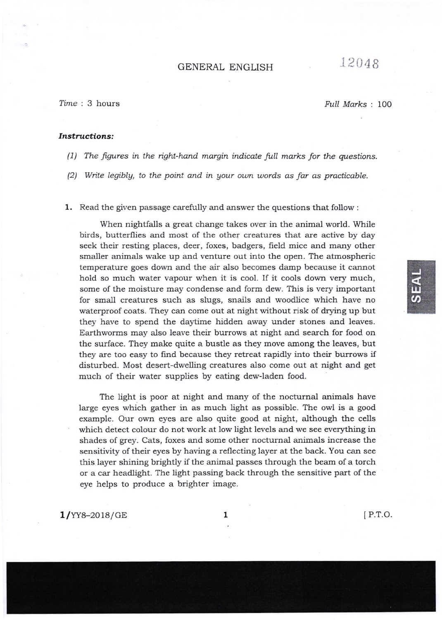## GENERAL ENGLISH  $12048$

?ime : 3 hours

Full Marks : 100

## Instructions:

 $(1)$  The figures in the right-hand margin indicate full marks for the questions.

 $p(2)$  Write legibly, to the point and in your own words as far as practicable.

 $\boldsymbol{1.}\;$  Read the given passage carefully and answer the questions that follow :

When nightfalls a great change takes over in the animal world. While birds, butterflies and most of the other creatures that are active by day seek their resting places, deer, foxes, badgers, field mice and many other smaller animals wake up and venture out into the open. The atmospheric temperature goes down and the air also becomes damp because it cannot hoid so much water vapour when it is cool. If it cools down very much, some of the moisture may condense and form dew. This is very important for small creatures such as slugs, snails and woodlice which have no waterproof coats. They can come out at night without risk of drying up but they have to spend the daytime hidden away under stones and leaves. Earthworms may also leave their burrows at night and search for food on the surface. They make quite a bustle as they move among the leaves, but they are too easy to find because they retreat rapidiy into their burrows if disturbed. Most desert-dwelling creatures also come out at night and get much of their water supplies by eating dew-laden food.

The light is poor at night and many of the nocturnal animals have large eyes which gather in as much light as possible. The owl is a good example. Our own eyes are also quite good at night, although the cells which detect colour do not work at low light levels and we see everything in shades of grey. Cats, foxes and some other nocturnal animals increase the sensitivity of their eyes by having a re{lecting layer at the back. You can see this Iayer shining brightly if the animal passes through the beam of a torch or a car headlight. The light passing back through the sensitive part of the eye helps to produce a brighter image.